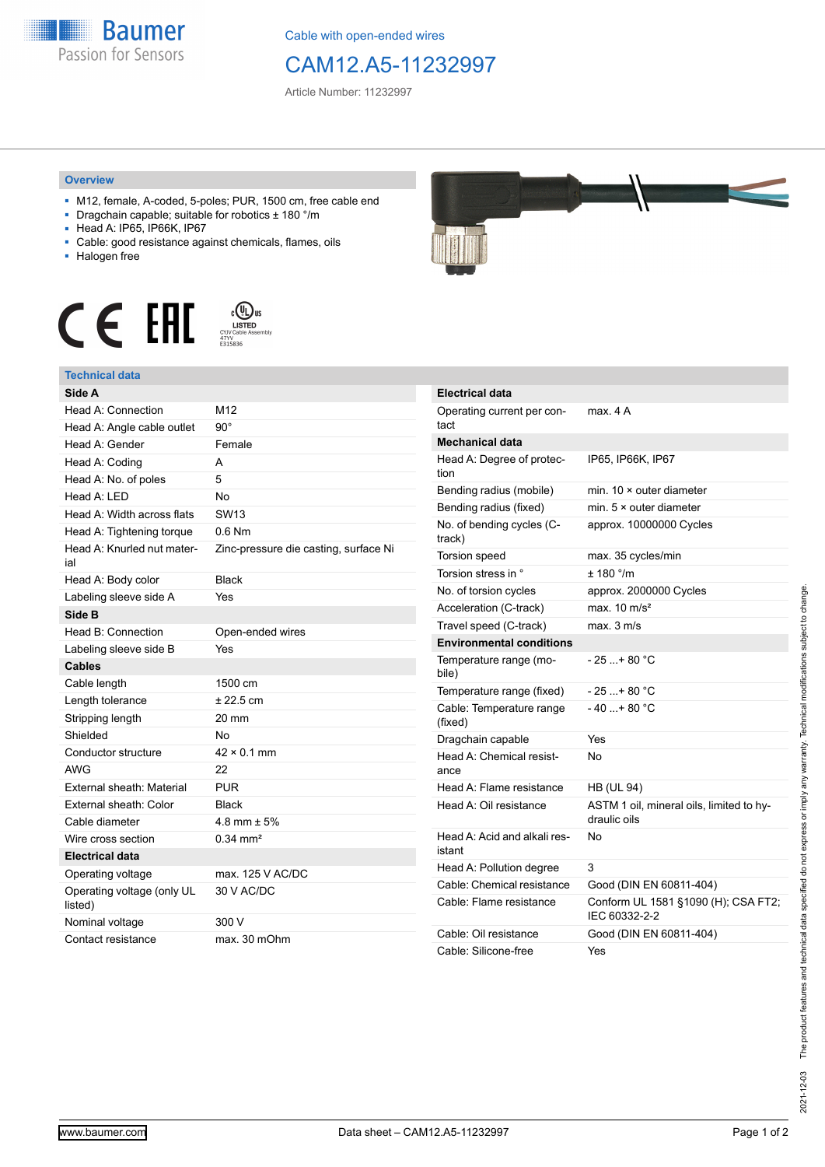

Cable with open-ended wires

## CAM12.A5-11232997

Article Number: 11232997

## **Overview**

- M12, female, A-coded, 5-poles; PUR, 1500 cm, free cable end
- Dragchain capable; suitable for robotics ± 180 °/m
- Head A: IP65, IP66K, IP67
- Cable: good resistance against chemicals, flames, oils
- Halogen free





| Side A                                |                                       |
|---------------------------------------|---------------------------------------|
| Head A: Connection                    | M12                                   |
| Head A: Angle cable outlet            | $90^{\circ}$                          |
| Head A: Gender                        | Female                                |
| Head A: Coding                        | А                                     |
| Head A: No. of poles                  | 5                                     |
| Head $A \cdot IFD$                    | N٥                                    |
| Head A: Width across flats            | SW <sub>13</sub>                      |
| Head A: Tightening torque             | $0.6$ Nm                              |
| Head A: Knurled nut mater-<br>ial     | Zinc-pressure die casting, surface Ni |
| Head A: Body color                    | <b>Black</b>                          |
| Labeling sleeve side A                | Yes                                   |
| Side B                                |                                       |
| Head B: Connection                    | Open-ended wires                      |
| Labeling sleeve side B                | Yes                                   |
| <b>Cables</b>                         |                                       |
| Cable length                          | 1500 cm                               |
| Length tolerance                      | ± 22.5 cm                             |
| Stripping length                      | 20 mm                                 |
| Shielded                              | No                                    |
| Conductor structure                   | $42 \times 0.1$ mm                    |
| <b>AWG</b>                            | 22                                    |
| External sheath: Material             | PUR                                   |
| External sheath: Color                | Black                                 |
| Cable diameter                        | 4.8 mm $\pm$ 5%                       |
| Wire cross section                    | $0.34 \, \text{mm}^2$                 |
| <b>Electrical data</b>                |                                       |
| Operating voltage                     | max. 125 V AC/DC                      |
| Operating voltage (only UL<br>listed) | 30 V AC/DC                            |
| Nominal voltage                       | 300 V                                 |
| Contact resistance                    | max. 30 mOhm                          |



| <b>Electrical data</b>                 |                                                          |
|----------------------------------------|----------------------------------------------------------|
| Operating current per con-<br>tact     | max. 4 A                                                 |
| <b>Mechanical data</b>                 |                                                          |
| Head A: Degree of protec-<br>tion      | IP65, IP66K, IP67                                        |
| Bending radius (mobile)                | min. $10 \times$ outer diameter                          |
| Bending radius (fixed)                 | min. $5 \times$ outer diameter                           |
| No. of bending cycles (C-<br>track)    | approx. 10000000 Cycles                                  |
| Torsion speed                          | max. 35 cycles/min                                       |
| Torsion stress in °                    | $± 180$ °/m                                              |
| No. of torsion cycles                  | approx. 2000000 Cycles                                   |
| Acceleration (C-track)                 | max. $10 \text{ m/s}^2$                                  |
| Travel speed (C-track)                 | max. 3 m/s                                               |
| <b>Environmental conditions</b>        |                                                          |
| Temperature range (mo-<br>bile)        | - 25 + 80 °C                                             |
| Temperature range (fixed)              | $-25$ + 80 °C                                            |
| Cable: Temperature range<br>(fixed)    | - 40 + 80 °C                                             |
| Dragchain capable                      | Yes                                                      |
| Head A: Chemical resist-<br>ance       | No                                                       |
| Head A: Flame resistance               | <b>HB (UL 94)</b>                                        |
| Head A: Oil resistance                 | ASTM 1 oil, mineral oils, limited to hy-<br>draulic oils |
| Head A: Acid and alkali res-<br>istant | No                                                       |
| Head A: Pollution degree               | 3                                                        |
| Cable: Chemical resistance             | Good (DIN EN 60811-404)                                  |
| Cable: Flame resistance                | Conform UL 1581 §1090 (H); CSA FT2;<br>IEC 60332-2-2     |
| Cable: Oil resistance                  | Good (DIN EN 60811-404)                                  |
| Cable: Silicone-free                   | Yes                                                      |